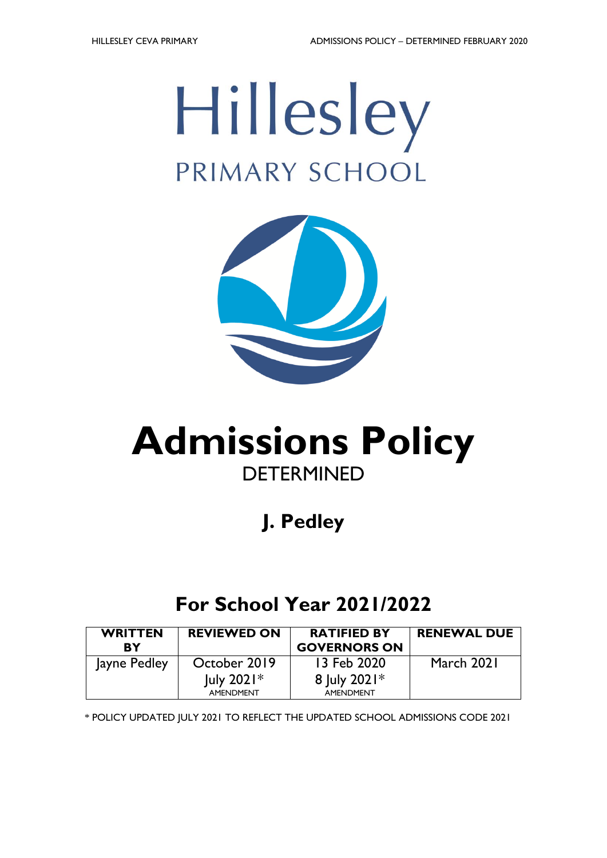



# **Admissions Policy DETERMINED**

## **J. Pedley**

### **For School Year 2021/2022**

| <b>WRITTEN</b><br>RY | <b>REVIEWED ON</b>            | <b>RATIFIED BY</b><br><b>GOVERNORS ON</b> | <b>RENEWAL DUE</b> |
|----------------------|-------------------------------|-------------------------------------------|--------------------|
| Jayne Pedley         | October 2019                  | 13 Feb 2020                               | March 2021         |
|                      | $ $ uly 2021 $*$<br>AMENDMENT | 8 July 2021*<br>AMENDMENT                 |                    |

\* POLICY UPDATED JULY 2021 TO REFLECT THE UPDATED SCHOOL ADMISSIONS CODE 2021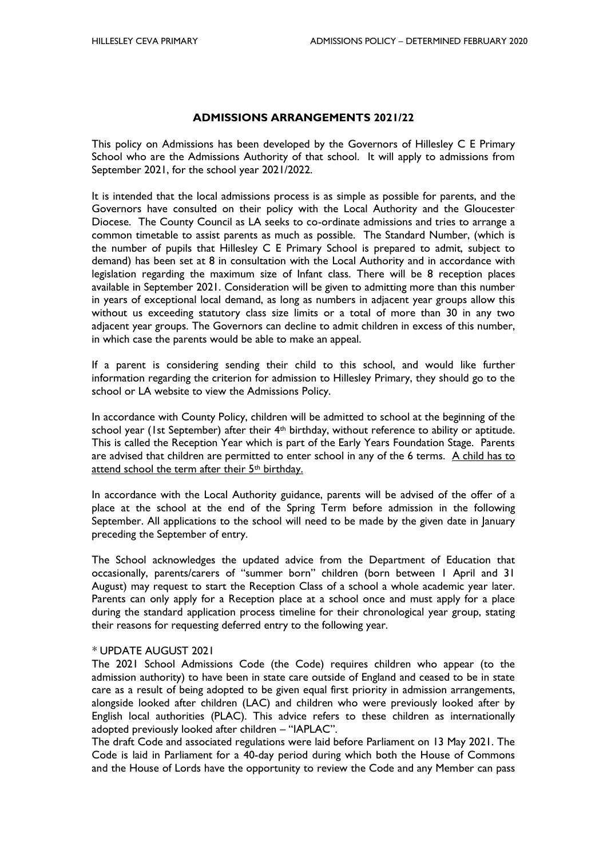#### **ADMISSIONS ARRANGEMENTS 2021/22**

This policy on Admissions has been developed by the Governors of Hillesley C E Primary School who are the Admissions Authority of that school. It will apply to admissions from September 2021, for the school year 2021/2022.

It is intended that the local admissions process is as simple as possible for parents, and the Governors have consulted on their policy with the Local Authority and the Gloucester Diocese. The County Council as LA seeks to co-ordinate admissions and tries to arrange a common timetable to assist parents as much as possible. The Standard Number, (which is the number of pupils that Hillesley C E Primary School is prepared to admit, subject to demand) has been set at 8 in consultation with the Local Authority and in accordance with legislation regarding the maximum size of Infant class. There will be 8 reception places available in September 2021. Consideration will be given to admitting more than this number in years of exceptional local demand, as long as numbers in adjacent year groups allow this without us exceeding statutory class size limits or a total of more than 30 in any two adjacent year groups. The Governors can decline to admit children in excess of this number, in which case the parents would be able to make an appeal.

If a parent is considering sending their child to this school, and would like further information regarding the criterion for admission to Hillesley Primary, they should go to the school or LA website to view the Admissions Policy.

In accordance with County Policy, children will be admitted to school at the beginning of the school year (1st September) after their 4<sup>th</sup> birthday, without reference to ability or aptitude. This is called the Reception Year which is part of the Early Years Foundation Stage. Parents are advised that children are permitted to enter school in any of the 6 terms. A child has to attend school the term after their 5<sup>th</sup> birthday.

In accordance with the Local Authority guidance, parents will be advised of the offer of a place at the school at the end of the Spring Term before admission in the following September. All applications to the school will need to be made by the given date in January preceding the September of entry.

The School acknowledges the updated advice from the Department of Education that occasionally, parents/carers of "summer born" children (born between 1 April and 31 August) may request to start the Reception Class of a school a whole academic year later. Parents can only apply for a Reception place at a school once and must apply for a place during the standard application process timeline for their chronological year group, stating their reasons for requesting deferred entry to the following year.

#### *\** UPDATE AUGUST 2021

The 2021 School Admissions Code (the Code) requires children who appear (to the admission authority) to have been in state care outside of England and ceased to be in state care as a result of being adopted to be given equal first priority in admission arrangements, alongside looked after children (LAC) and children who were previously looked after by English local authorities (PLAC). This advice refers to these children as internationally adopted previously looked after children – "IAPLAC".

The draft Code and associated regulations were laid before Parliament on 13 May 2021. The Code is laid in Parliament for a 40-day period during which both the House of Commons and the House of Lords have the opportunity to review the Code and any Member can pass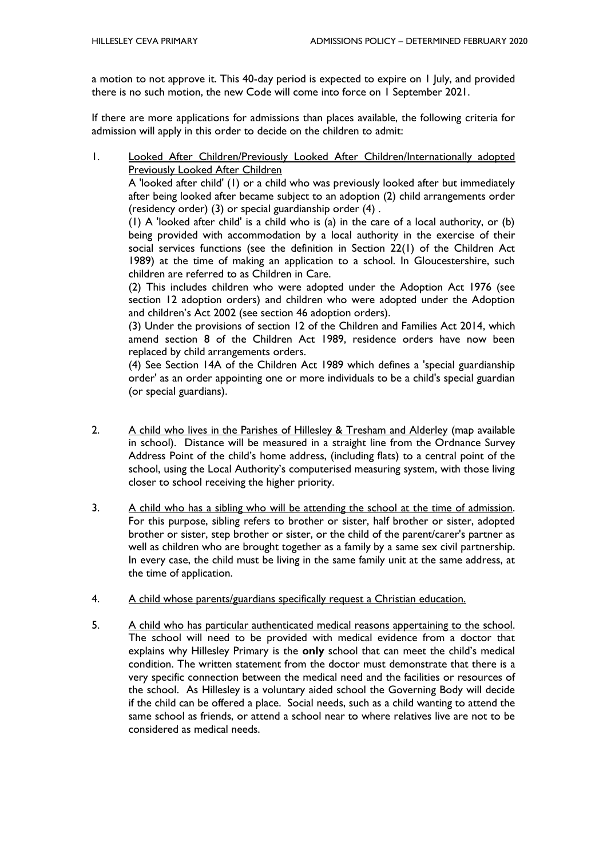a motion to not approve it. This 40-day period is expected to expire on 1 July, and provided there is no such motion, the new Code will come into force on 1 September 2021.

If there are more applications for admissions than places available, the following criteria for admission will apply in this order to decide on the children to admit:

1. Looked After Children/Previously Looked After Children/Internationally adopted Previously Looked After Children

A 'looked after child' (1) or a child who was previously looked after but immediately after being looked after became subject to an adoption (2) child arrangements order (residency order) (3) or special guardianship order (4) .

(1) A 'looked after child' is a child who is (a) in the care of a local authority, or (b) being provided with accommodation by a local authority in the exercise of their social services functions (see the definition in Section 22(1) of the Children Act 1989) at the time of making an application to a school. In Gloucestershire, such children are referred to as Children in Care.

(2) This includes children who were adopted under the Adoption Act 1976 (see section 12 adoption orders) and children who were adopted under the Adoption and children's Act 2002 (see section 46 adoption orders).

(3) Under the provisions of section 12 of the Children and Families Act 2014, which amend section 8 of the Children Act 1989, residence orders have now been replaced by child arrangements orders.

(4) See Section 14A of the Children Act 1989 which defines a 'special guardianship order' as an order appointing one or more individuals to be a child's special guardian (or special guardians).

- 2. A child who lives in the Parishes of Hillesley & Tresham and Alderley (map available in school). Distance will be measured in a straight line from the Ordnance Survey Address Point of the child's home address, (including flats) to a central point of the school, using the Local Authority's computerised measuring system, with those living closer to school receiving the higher priority.
- 3. A child who has a sibling who will be attending the school at the time of admission. For this purpose, sibling refers to brother or sister, half brother or sister, adopted brother or sister, step brother or sister, or the child of the parent/carer's partner as well as children who are brought together as a family by a same sex civil partnership. In every case, the child must be living in the same family unit at the same address, at the time of application.
- 4. A child whose parents/guardians specifically request a Christian education.
- 5. A child who has particular authenticated medical reasons appertaining to the school. The school will need to be provided with medical evidence from a doctor that explains why Hillesley Primary is the **only** school that can meet the child's medical condition. The written statement from the doctor must demonstrate that there is a very specific connection between the medical need and the facilities or resources of the school. As Hillesley is a voluntary aided school the Governing Body will decide if the child can be offered a place. Social needs, such as a child wanting to attend the same school as friends, or attend a school near to where relatives live are not to be considered as medical needs.